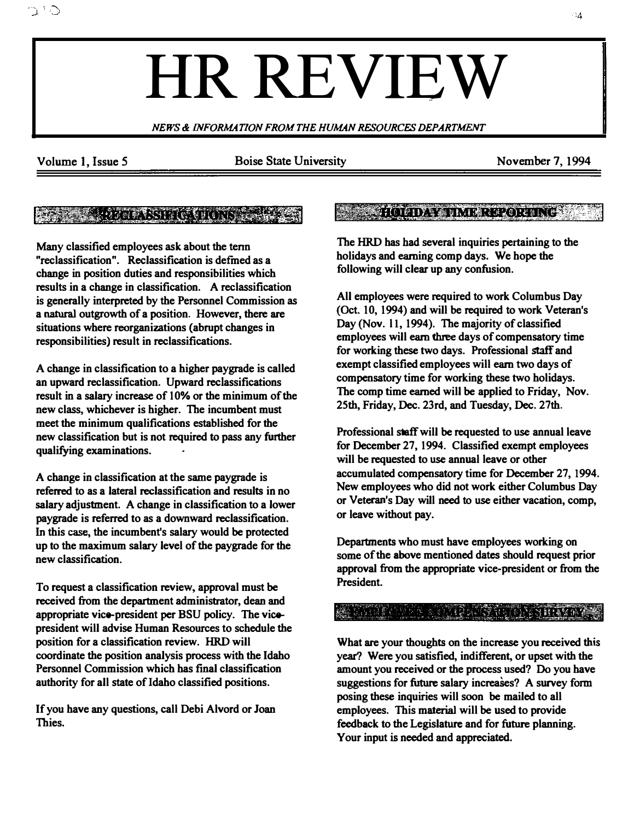# HR REVIEW

NEWS & INFORMATION FROM THE HUMAN RESOURCES DEPARTMENT

いさ

Volume 1, Issue 5 Boise State University November 7, 1994

# **SEE ROOMSNITE ON SEE**

Many classified employees ask about the tenn "reclassification". Reclassification is defmed as a change in position duties and responsibilities which results in a change in classification. A reclassification is generally interpreted by the Personnel Commission as a natural outgrowth of a position. However, there are situations where reorganizations (abrupt changes in responsibilities) result in reclassifications.

A change in classification to a higher paygrade is called an upward reclassification. Upward reclassifications result in a salary increase of 10% or the minimum of the new class, whichever is higher. The incumbent must meet the minimum qualifications established for the new classification but is not required to pass any further qualifying examinations.

A change in classification at the same paygrade is referred to as a lateral reclassification and results in no salary adjustment. A change in classification to a lower paygrade is referred to as a downward reclassification. In this case, the incumbent's salary would be protected up to the maximum salary level of the paygrade for the new classification.

To request a classification review, approval must be received from the department administrator, dean and appropriate vice-president per BSU policy. The vicepresident will advise Human Resources to schedule the position for a classification review. HRD will coordinate the position analysis process with the Idaho Personnel Commission which has final classification authority for all state of Idaho classified positions.

If you have any questions, call Debi Alvord or Joan Thies.

## **SASSAS HOLDAVARIME REVORTING LAB**

The HRD has had several inquiries pertaining to the holidays and earning comp days. We hope the following will clear up any confusion.

All employees were required to work Columbus Day (Oct. 10, 1994) and will be required to work Veteran's Day (Nov. 11, 1994). The majority of classified employees will earn three days of compensatory time for working these two days. Professional staff and exempt classified employees will earn two days of compensatory time for working these two holidays. The comp time earned will be applied to Friday, Nov. 25th, Friday, Dec. 23rd, and Tuesday, Dec. 27th.

Professional staff will be requested to use annual leave for December 27, 1994. Classified exempt employees will be requested to use annual leave or other accumulated compensatory time for December 27, 1994. New employees who did not work either Columbus Day or Veteran's Day will need to use either vacation, comp, or leave without pay.

Departments who must have employees working on some of the above mentioned dates should request prior approval from the appropriate vice-president or from the President.

### MINE COMPANY OF CHANGES IN A THE MOVE

What are your thoughts on the increase you received this year? Were you satisfied, indifferent, or upset with the amount you received or the process used? Do you have suggestions for future salary increases? A survey form posing these inquiries will soon be mailed to all employees. This material will be used to provide feedback to the Legislature and for future planning. Your input is needed and appreciated.